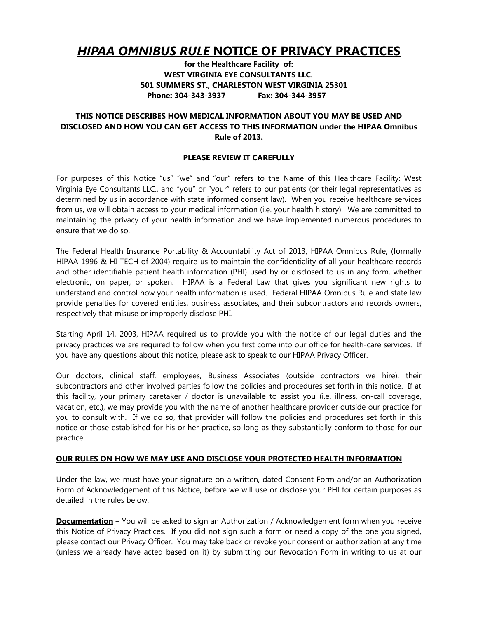# *HIPAA OMNIBUS RULE* **NOTICE OF PRIVACY PRACTICES**

**for the Healthcare Facility of: WEST VIRGINIA EYE CONSULTANTS LLC. 501 SUMMERS ST., CHARLESTON WEST VIRGINIA 25301 Phone: 304-343-3937 Fax: 304-344-3957** 

# **THIS NOTICE DESCRIBES HOW MEDICAL INFORMATION ABOUT YOU MAY BE USED AND DISCLOSED AND HOW YOU CAN GET ACCESS TO THIS INFORMATION under the HIPAA Omnibus Rule of 2013.**

## **PLEASE REVIEW IT CAREFULLY**

For purposes of this Notice "us" "we" and "our" refers to the Name of this Healthcare Facility: West Virginia Eye Consultants LLC., and "you" or "your" refers to our patients (or their legal representatives as determined by us in accordance with state informed consent law). When you receive healthcare services from us, we will obtain access to your medical information (i.e. your health history). We are committed to maintaining the privacy of your health information and we have implemented numerous procedures to ensure that we do so.

The Federal Health Insurance Portability & Accountability Act of 2013, HIPAA Omnibus Rule, (formally HIPAA 1996 & HI TECH of 2004) require us to maintain the confidentiality of all your healthcare records and other identifiable patient health information (PHI) used by or disclosed to us in any form, whether electronic, on paper, or spoken. HIPAA is a Federal Law that gives you significant new rights to understand and control how your health information is used. Federal HIPAA Omnibus Rule and state law provide penalties for covered entities, business associates, and their subcontractors and records owners, respectively that misuse or improperly disclose PHI.

Starting April 14, 2003, HIPAA required us to provide you with the notice of our legal duties and the privacy practices we are required to follow when you first come into our office for health-care services. If you have any questions about this notice, please ask to speak to our HIPAA Privacy Officer.

Our doctors, clinical staff, employees, Business Associates (outside contractors we hire), their subcontractors and other involved parties follow the policies and procedures set forth in this notice. If at this facility, your primary caretaker / doctor is unavailable to assist you (i.e. illness, on-call coverage, vacation, etc.), we may provide you with the name of another healthcare provider outside our practice for you to consult with. If we do so, that provider will follow the policies and procedures set forth in this notice or those established for his or her practice, so long as they substantially conform to those for our practice.

# **OUR RULES ON HOW WE MAY USE AND DISCLOSE YOUR PROTECTED HEALTH INFORMATION**

Under the law, we must have your signature on a written, dated Consent Form and/or an Authorization Form of Acknowledgement of this Notice, before we will use or disclose your PHI for certain purposes as detailed in the rules below.

**Documentation** – You will be asked to sign an Authorization / Acknowledgement form when you receive this Notice of Privacy Practices. If you did not sign such a form or need a copy of the one you signed, please contact our Privacy Officer. You may take back or revoke your consent or authorization at any time (unless we already have acted based on it) by submitting our Revocation Form in writing to us at our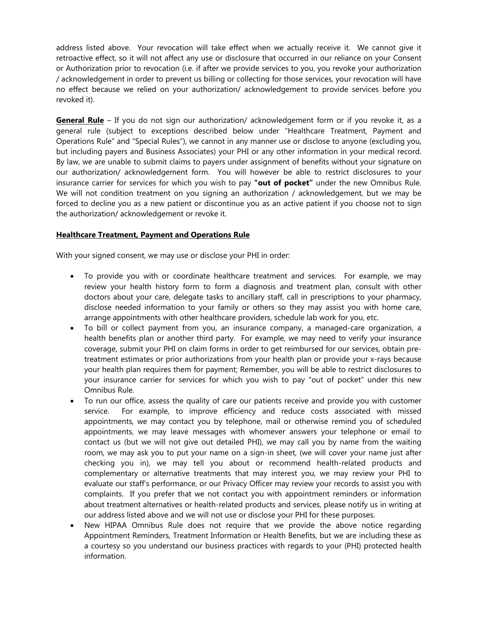address listed above. Your revocation will take effect when we actually receive it. We cannot give it retroactive effect, so it will not affect any use or disclosure that occurred in our reliance on your Consent or Authorization prior to revocation (i.e. if after we provide services to you, you revoke your authorization / acknowledgement in order to prevent us billing or collecting for those services, your revocation will have no effect because we relied on your authorization/ acknowledgement to provide services before you revoked it).

**General Rule** – If you do not sign our authorization/ acknowledgement form or if you revoke it, as a general rule (subject to exceptions described below under "Healthcare Treatment, Payment and Operations Rule" and "Special Rules"), we cannot in any manner use or disclose to anyone (excluding you, but including payers and Business Associates) your PHI or any other information in your medical record. By law, we are unable to submit claims to payers under assignment of benefits without your signature on our authorization/ acknowledgement form. You will however be able to restrict disclosures to your insurance carrier for services for which you wish to pay **"out of pocket"** under the new Omnibus Rule. We will not condition treatment on you signing an authorization / acknowledgement, but we may be forced to decline you as a new patient or discontinue you as an active patient if you choose not to sign the authorization/ acknowledgement or revoke it.

# **Healthcare Treatment, Payment and Operations Rule**

With your signed consent, we may use or disclose your PHI in order:

- To provide you with or coordinate healthcare treatment and services. For example, we may review your health history form to form a diagnosis and treatment plan, consult with other doctors about your care, delegate tasks to ancillary staff, call in prescriptions to your pharmacy, disclose needed information to your family or others so they may assist you with home care, arrange appointments with other healthcare providers, schedule lab work for you, etc.
- To bill or collect payment from you, an insurance company, a managed-care organization, a health benefits plan or another third party. For example, we may need to verify your insurance coverage, submit your PHI on claim forms in order to get reimbursed for our services, obtain pretreatment estimates or prior authorizations from your health plan or provide your x-rays because your health plan requires them for payment; Remember, you will be able to restrict disclosures to your insurance carrier for services for which you wish to pay "out of pocket" under this new Omnibus Rule.
- To run our office, assess the quality of care our patients receive and provide you with customer service. For example, to improve efficiency and reduce costs associated with missed appointments, we may contact you by telephone, mail or otherwise remind you of scheduled appointments, we may leave messages with whomever answers your telephone or email to contact us (but we will not give out detailed PHI), we may call you by name from the waiting room, we may ask you to put your name on a sign-in sheet, (we will cover your name just after checking you in), we may tell you about or recommend health-related products and complementary or alternative treatments that may interest you, we may review your PHI to evaluate our staff's performance, or our Privacy Officer may review your records to assist you with complaints. If you prefer that we not contact you with appointment reminders or information about treatment alternatives or health-related products and services, please notify us in writing at our address listed above and we will not use or disclose your PHI for these purposes.
- New HIPAA Omnibus Rule does not require that we provide the above notice regarding Appointment Reminders, Treatment Information or Health Benefits, but we are including these as a courtesy so you understand our business practices with regards to your (PHI) protected health information.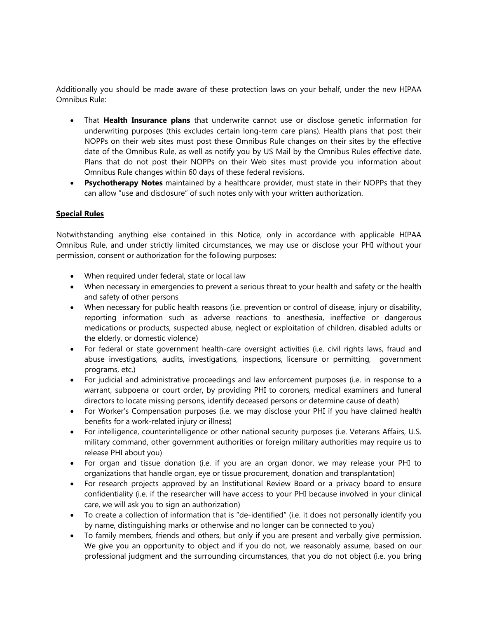Additionally you should be made aware of these protection laws on your behalf, under the new HIPAA Omnibus Rule:

- That **Health Insurance plans** that underwrite cannot use or disclose genetic information for underwriting purposes (this excludes certain long-term care plans). Health plans that post their NOPPs on their web sites must post these Omnibus Rule changes on their sites by the effective date of the Omnibus Rule, as well as notify you by US Mail by the Omnibus Rules effective date. Plans that do not post their NOPPs on their Web sites must provide you information about Omnibus Rule changes within 60 days of these federal revisions.
- **Psychotherapy Notes** maintained by a healthcare provider, must state in their NOPPs that they can allow "use and disclosure" of such notes only with your written authorization.

# **Special Rules**

Notwithstanding anything else contained in this Notice, only in accordance with applicable HIPAA Omnibus Rule, and under strictly limited circumstances, we may use or disclose your PHI without your permission, consent or authorization for the following purposes:

- When required under federal, state or local law
- When necessary in emergencies to prevent a serious threat to your health and safety or the health and safety of other persons
- When necessary for public health reasons (i.e. prevention or control of disease, injury or disability, reporting information such as adverse reactions to anesthesia, ineffective or dangerous medications or products, suspected abuse, neglect or exploitation of children, disabled adults or the elderly, or domestic violence)
- For federal or state government health-care oversight activities (i.e. civil rights laws, fraud and abuse investigations, audits, investigations, inspections, licensure or permitting, government programs, etc.)
- For judicial and administrative proceedings and law enforcement purposes (i.e. in response to a warrant, subpoena or court order, by providing PHI to coroners, medical examiners and funeral directors to locate missing persons, identify deceased persons or determine cause of death)
- For Worker's Compensation purposes (i.e. we may disclose your PHI if you have claimed health benefits for a work-related injury or illness)
- For intelligence, counterintelligence or other national security purposes (i.e. Veterans Affairs, U.S. military command, other government authorities or foreign military authorities may require us to release PHI about you)
- For organ and tissue donation (i.e. if you are an organ donor, we may release your PHI to organizations that handle organ, eye or tissue procurement, donation and transplantation)
- For research projects approved by an Institutional Review Board or a privacy board to ensure confidentiality (i.e. if the researcher will have access to your PHI because involved in your clinical care, we will ask you to sign an authorization)
- To create a collection of information that is "de-identified" (i.e. it does not personally identify you by name, distinguishing marks or otherwise and no longer can be connected to you)
- To family members, friends and others, but only if you are present and verbally give permission. We give you an opportunity to object and if you do not, we reasonably assume, based on our professional judgment and the surrounding circumstances, that you do not object (i.e. you bring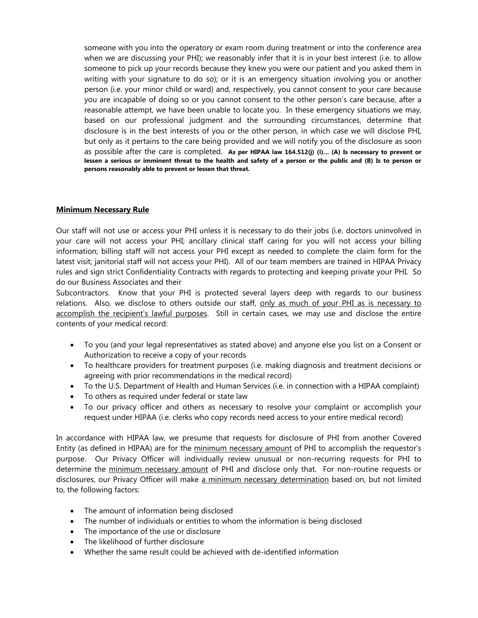someone with you into the operatory or exam room during treatment or into the conference area when we are discussing your PHI); we reasonably infer that it is in your best interest (i.e. to allow someone to pick up your records because they knew you were our patient and you asked them in writing with your signature to do so); or it is an emergency situation involving you or another person (i.e. your minor child or ward) and, respectively, you cannot consent to your care because you are incapable of doing so or you cannot consent to the other person's care because, after a reasonable attempt, we have been unable to locate you. In these emergency situations we may, based on our professional judgment and the surrounding circumstances, determine that disclosure is in the best interests of you or the other person, in which case we will disclose PHI, but only as it pertains to the care being provided and we will notify you of the disclosure as soon as possible after the care is completed. **As per HIPAA law 164.512(j) (i)… (A) Is necessary to prevent or lessen a serious or imminent threat to the health and safety of a person or the public and (B) Is to person or persons reasonably able to prevent or lessen that threat.**

# **Minimum Necessary Rule**

Our staff will not use or access your PHI unless it is necessary to do their jobs (i.e. doctors uninvolved in your care will not access your PHI; ancillary clinical staff caring for you will not access your billing information; billing staff will not access your PHI except as needed to complete the claim form for the latest visit; janitorial staff will not access your PHI). All of our team members are trained in HIPAA Privacy rules and sign strict Confidentiality Contracts with regards to protecting and keeping private your PHI. So do our Business Associates and their

Subcontractors. Know that your PHI is protected several layers deep with regards to our business relations. Also, we disclose to others outside our staff, only as much of your PHI as is necessary to accomplish the recipient's lawful purposes. Still in certain cases, we may use and disclose the entire contents of your medical record:

- To you (and your legal representatives as stated above) and anyone else you list on a Consent or Authorization to receive a copy of your records
- To healthcare providers for treatment purposes (i.e. making diagnosis and treatment decisions or agreeing with prior recommendations in the medical record)
- To the U.S. Department of Health and Human Services (i.e. in connection with a HIPAA complaint)
- To others as required under federal or state law
- To our privacy officer and others as necessary to resolve your complaint or accomplish your request under HIPAA (i.e. clerks who copy records need access to your entire medical record)

In accordance with HIPAA law, we presume that requests for disclosure of PHI from another Covered Entity (as defined in HIPAA) are for the minimum necessary amount of PHI to accomplish the requestor's purpose. Our Privacy Officer will individually review unusual or non-recurring requests for PHI to determine the minimum necessary amount of PHI and disclose only that. For non-routine requests or disclosures, our Privacy Officer will make a minimum necessary determination based on, but not limited to, the following factors:

- The amount of information being disclosed
- The number of individuals or entities to whom the information is being disclosed
- The importance of the use or disclosure
- The likelihood of further disclosure
- Whether the same result could be achieved with de-identified information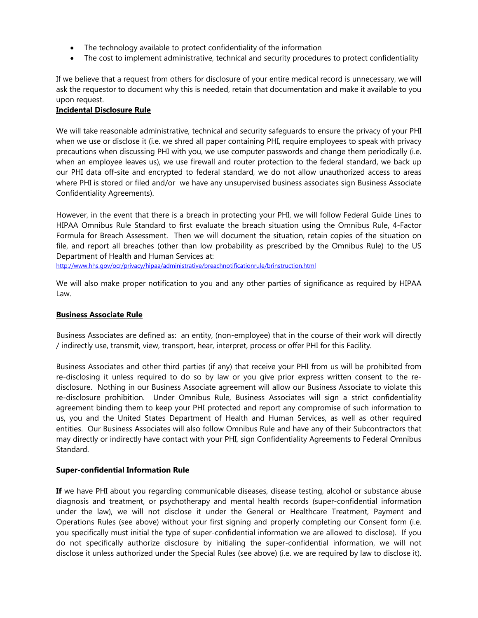- The technology available to protect confidentiality of the information
- The cost to implement administrative, technical and security procedures to protect confidentiality

If we believe that a request from others for disclosure of your entire medical record is unnecessary, we will ask the requestor to document why this is needed, retain that documentation and make it available to you upon request.

# **Incidental Disclosure Rule**

We will take reasonable administrative, technical and security safeguards to ensure the privacy of your PHI when we use or disclose it (i.e. we shred all paper containing PHI, require employees to speak with privacy precautions when discussing PHI with you, we use computer passwords and change them periodically (i.e. when an employee leaves us), we use firewall and router protection to the federal standard, we back up our PHI data off-site and encrypted to federal standard, we do not allow unauthorized access to areas where PHI is stored or filed and/or we have any unsupervised business associates sign Business Associate Confidentiality Agreements).

However, in the event that there is a breach in protecting your PHI, we will follow Federal Guide Lines to HIPAA Omnibus Rule Standard to first evaluate the breach situation using the Omnibus Rule, 4-Factor Formula for Breach Assessment. Then we will document the situation, retain copies of the situation on file, and report all breaches (other than low probability as prescribed by the Omnibus Rule) to the US Department of Health and Human Services at:

http://www.hhs.gov/ocr/privacy/hipaa/administrative/breachnotificationrule/brinstruction.html

We will also make proper notification to you and any other parties of significance as required by HIPAA Law.

# **Business Associate Rule**

Business Associates are defined as: an entity, (non-employee) that in the course of their work will directly / indirectly use, transmit, view, transport, hear, interpret, process or offer PHI for this Facility.

Business Associates and other third parties (if any) that receive your PHI from us will be prohibited from re-disclosing it unless required to do so by law or you give prior express written consent to the redisclosure. Nothing in our Business Associate agreement will allow our Business Associate to violate this re-disclosure prohibition. Under Omnibus Rule, Business Associates will sign a strict confidentiality agreement binding them to keep your PHI protected and report any compromise of such information to us, you and the United States Department of Health and Human Services, as well as other required entities. Our Business Associates will also follow Omnibus Rule and have any of their Subcontractors that may directly or indirectly have contact with your PHI, sign Confidentiality Agreements to Federal Omnibus Standard.

#### **Super-confidential Information Rule**

**If** we have PHI about you regarding communicable diseases, disease testing, alcohol or substance abuse diagnosis and treatment, or psychotherapy and mental health records (super-confidential information under the law), we will not disclose it under the General or Healthcare Treatment, Payment and Operations Rules (see above) without your first signing and properly completing our Consent form (i.e. you specifically must initial the type of super-confidential information we are allowed to disclose). If you do not specifically authorize disclosure by initialing the super-confidential information, we will not disclose it unless authorized under the Special Rules (see above) (i.e. we are required by law to disclose it).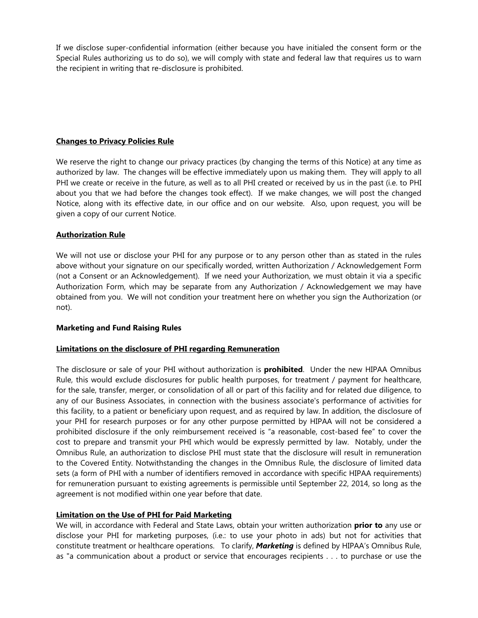If we disclose super-confidential information (either because you have initialed the consent form or the Special Rules authorizing us to do so), we will comply with state and federal law that requires us to warn the recipient in writing that re-disclosure is prohibited.

# **Changes to Privacy Policies Rule**

We reserve the right to change our privacy practices (by changing the terms of this Notice) at any time as authorized by law. The changes will be effective immediately upon us making them. They will apply to all PHI we create or receive in the future, as well as to all PHI created or received by us in the past (i.e. to PHI about you that we had before the changes took effect). If we make changes, we will post the changed Notice, along with its effective date, in our office and on our website. Also, upon request, you will be given a copy of our current Notice.

# **Authorization Rule**

We will not use or disclose your PHI for any purpose or to any person other than as stated in the rules above without your signature on our specifically worded, written Authorization / Acknowledgement Form (not a Consent or an Acknowledgement). If we need your Authorization, we must obtain it via a specific Authorization Form, which may be separate from any Authorization / Acknowledgement we may have obtained from you. We will not condition your treatment here on whether you sign the Authorization (or not).

#### **Marketing and Fund Raising Rules**

# **Limitations on the disclosure of PHI regarding Remuneration**

The disclosure or sale of your PHI without authorization is **prohibited**. Under the new HIPAA Omnibus Rule, this would exclude disclosures for public health purposes, for treatment / payment for healthcare, for the sale, transfer, merger, or consolidation of all or part of this facility and for related due diligence, to any of our Business Associates, in connection with the business associate's performance of activities for this facility, to a patient or beneficiary upon request, and as required by law. In addition, the disclosure of your PHI for research purposes or for any other purpose permitted by HIPAA will not be considered a prohibited disclosure if the only reimbursement received is "a reasonable, cost-based fee" to cover the cost to prepare and transmit your PHI which would be expressly permitted by law. Notably, under the Omnibus Rule, an authorization to disclose PHI must state that the disclosure will result in remuneration to the Covered Entity. Notwithstanding the changes in the Omnibus Rule, the disclosure of limited data sets (a form of PHI with a number of identifiers removed in accordance with specific HIPAA requirements) for remuneration pursuant to existing agreements is permissible until September 22, 2014, so long as the agreement is not modified within one year before that date.

# **Limitation on the Use of PHI for Paid Marketing**

We will, in accordance with Federal and State Laws, obtain your written authorization **prior to** any use or disclose your PHI for marketing purposes, (i.e.: to use your photo in ads) but not for activities that constitute treatment or healthcare operations. To clarify, *Marketing* is defined by HIPAA's Omnibus Rule, as "a communication about a product or service that encourages recipients . . . to purchase or use the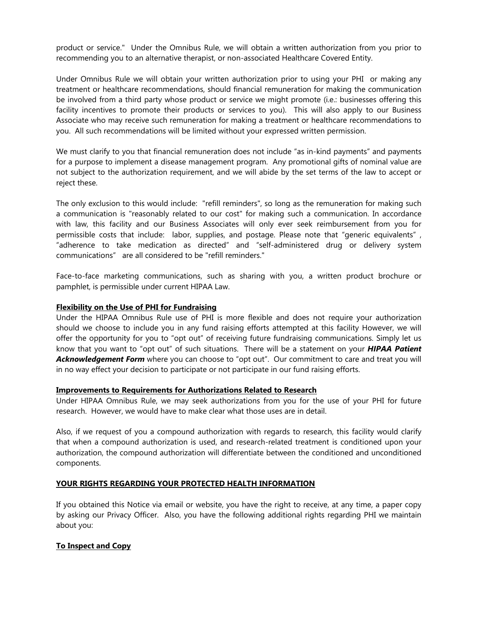product or service." Under the Omnibus Rule, we will obtain a written authorization from you prior to recommending you to an alternative therapist, or non-associated Healthcare Covered Entity.

Under Omnibus Rule we will obtain your written authorization prior to using your PHI or making any treatment or healthcare recommendations, should financial remuneration for making the communication be involved from a third party whose product or service we might promote (i.e.: businesses offering this facility incentives to promote their products or services to you). This will also apply to our Business Associate who may receive such remuneration for making a treatment or healthcare recommendations to you. All such recommendations will be limited without your expressed written permission.

We must clarify to you that financial remuneration does not include "as in-kind payments" and payments for a purpose to implement a disease management program. Any promotional gifts of nominal value are not subject to the authorization requirement, and we will abide by the set terms of the law to accept or reject these.

The only exclusion to this would include: "refill reminders", so long as the remuneration for making such a communication is "reasonably related to our cost" for making such a communication. In accordance with law, this facility and our Business Associates will only ever seek reimbursement from you for permissible costs that include: labor, supplies, and postage. Please note that "generic equivalents" , "adherence to take medication as directed" and "self-administered drug or delivery system communications" are all considered to be "refill reminders."

Face-to-face marketing communications, such as sharing with you, a written product brochure or pamphlet, is permissible under current HIPAA Law.

## **Flexibility on the Use of PHI for Fundraising**

Under the HIPAA Omnibus Rule use of PHI is more flexible and does not require your authorization should we choose to include you in any fund raising efforts attempted at this facility However, we will offer the opportunity for you to "opt out" of receiving future fundraising communications. Simply let us know that you want to "opt out" of such situations. There will be a statement on your *HIPAA Patient Acknowledgement Form* where you can choose to "opt out". Our commitment to care and treat you will in no way effect your decision to participate or not participate in our fund raising efforts.

#### **Improvements to Requirements for Authorizations Related to Research**

Under HIPAA Omnibus Rule, we may seek authorizations from you for the use of your PHI for future research. However, we would have to make clear what those uses are in detail.

Also, if we request of you a compound authorization with regards to research, this facility would clarify that when a compound authorization is used, and research-related treatment is conditioned upon your authorization, the compound authorization will differentiate between the conditioned and unconditioned components.

# **YOUR RIGHTS REGARDING YOUR PROTECTED HEALTH INFORMATION**

If you obtained this Notice via email or website, you have the right to receive, at any time, a paper copy by asking our Privacy Officer. Also, you have the following additional rights regarding PHI we maintain about you:

# **To Inspect and Copy**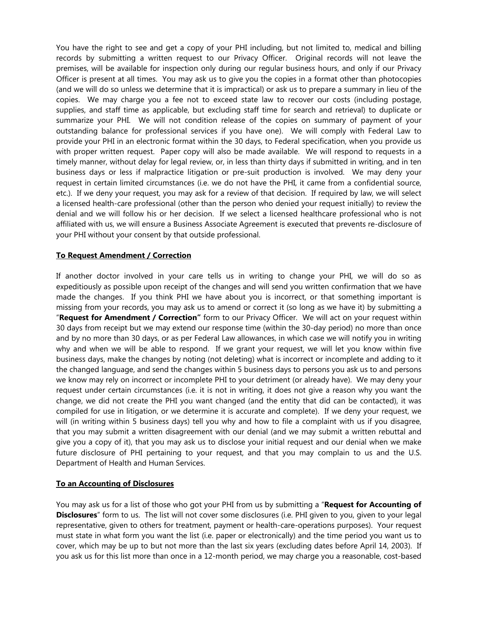You have the right to see and get a copy of your PHI including, but not limited to, medical and billing records by submitting a written request to our Privacy Officer. Original records will not leave the premises, will be available for inspection only during our regular business hours, and only if our Privacy Officer is present at all times. You may ask us to give you the copies in a format other than photocopies (and we will do so unless we determine that it is impractical) or ask us to prepare a summary in lieu of the copies. We may charge you a fee not to exceed state law to recover our costs (including postage, supplies, and staff time as applicable, but excluding staff time for search and retrieval) to duplicate or summarize your PHI. We will not condition release of the copies on summary of payment of your outstanding balance for professional services if you have one). We will comply with Federal Law to provide your PHI in an electronic format within the 30 days, to Federal specification, when you provide us with proper written request. Paper copy will also be made available. We will respond to requests in a timely manner, without delay for legal review, or, in less than thirty days if submitted in writing, and in ten business days or less if malpractice litigation or pre-suit production is involved. We may deny your request in certain limited circumstances (i.e. we do not have the PHI, it came from a confidential source, etc.). If we deny your request, you may ask for a review of that decision. If required by law, we will select a licensed health-care professional (other than the person who denied your request initially) to review the denial and we will follow his or her decision. If we select a licensed healthcare professional who is not affiliated with us, we will ensure a Business Associate Agreement is executed that prevents re-disclosure of your PHI without your consent by that outside professional.

# **To Request Amendment / Correction**

If another doctor involved in your care tells us in writing to change your PHI, we will do so as expeditiously as possible upon receipt of the changes and will send you written confirmation that we have made the changes. If you think PHI we have about you is incorrect, or that something important is missing from your records, you may ask us to amend or correct it (so long as we have it) by submitting a "**Request for Amendment / Correction"** form to our Privacy Officer. We will act on your request within 30 days from receipt but we may extend our response time (within the 30-day period) no more than once and by no more than 30 days, or as per Federal Law allowances, in which case we will notify you in writing why and when we will be able to respond. If we grant your request, we will let you know within five business days, make the changes by noting (not deleting) what is incorrect or incomplete and adding to it the changed language, and send the changes within 5 business days to persons you ask us to and persons we know may rely on incorrect or incomplete PHI to your detriment (or already have). We may deny your request under certain circumstances (i.e. it is not in writing, it does not give a reason why you want the change, we did not create the PHI you want changed (and the entity that did can be contacted), it was compiled for use in litigation, or we determine it is accurate and complete). If we deny your request, we will (in writing within 5 business days) tell you why and how to file a complaint with us if you disagree, that you may submit a written disagreement with our denial (and we may submit a written rebuttal and give you a copy of it), that you may ask us to disclose your initial request and our denial when we make future disclosure of PHI pertaining to your request, and that you may complain to us and the U.S. Department of Health and Human Services.

#### **To an Accounting of Disclosures**

You may ask us for a list of those who got your PHI from us by submitting a "**Request for Accounting of Disclosures**" form to us. The list will not cover some disclosures (i.e. PHI given to you, given to your legal representative, given to others for treatment, payment or health-care-operations purposes). Your request must state in what form you want the list (i.e. paper or electronically) and the time period you want us to cover, which may be up to but not more than the last six years (excluding dates before April 14, 2003). If you ask us for this list more than once in a 12-month period, we may charge you a reasonable, cost-based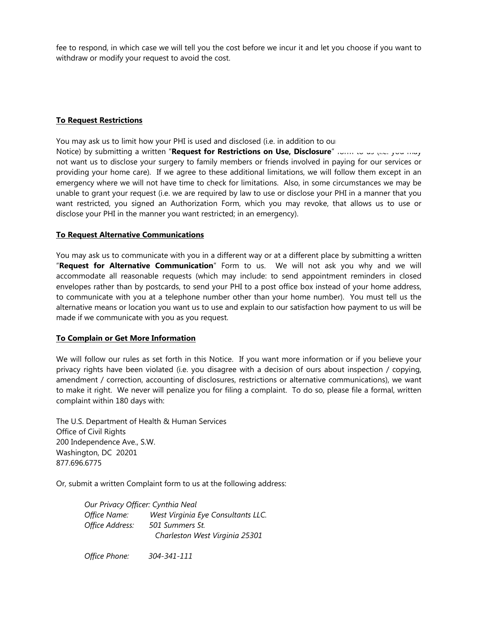fee to respond, in which case we will tell you the cost before we incur it and let you choose if you want to withdraw or modify your request to avoid the cost.

# **To Request Restrictions**

You may ask us to limit how your PHI is used and disclosed (i.e. in addition to our

Notice) by submitting a written "**Request for Restrictions on Use, Disclosure**" form to us (i.e. you may not want us to disclose your surgery to family members or friends involved in paying for our services or providing your home care). If we agree to these additional limitations, we will follow them except in an emergency where we will not have time to check for limitations. Also, in some circumstances we may be unable to grant your request (i.e. we are required by law to use or disclose your PHI in a manner that you want restricted, you signed an Authorization Form, which you may revoke, that allows us to use or disclose your PHI in the manner you want restricted; in an emergency).

## **To Request Alternative Communications**

You may ask us to communicate with you in a different way or at a different place by submitting a written "**Request for Alternative Communication**" Form to us. We will not ask you why and we will accommodate all reasonable requests (which may include: to send appointment reminders in closed envelopes rather than by postcards, to send your PHI to a post office box instead of your home address, to communicate with you at a telephone number other than your home number). You must tell us the alternative means or location you want us to use and explain to our satisfaction how payment to us will be made if we communicate with you as you request.

# **To Complain or Get More Information**

We will follow our rules as set forth in this Notice. If you want more information or if you believe your privacy rights have been violated (i.e. you disagree with a decision of ours about inspection / copying, amendment / correction, accounting of disclosures, restrictions or alternative communications), we want to make it right. We never will penalize you for filing a complaint. To do so, please file a formal, written complaint within 180 days with:

The U.S. Department of Health & Human Services Office of Civil Rights 200 Independence Ave., S.W. Washington, DC 20201 877.696.6775

Or, submit a written Complaint form to us at the following address:

*Our Privacy Officer: Cynthia Neal Office Name: West Virginia Eye Consultants LLC. Office Address: 501 Summers St. Charleston West Virginia 25301* 

*Office Phone: 304-341-111*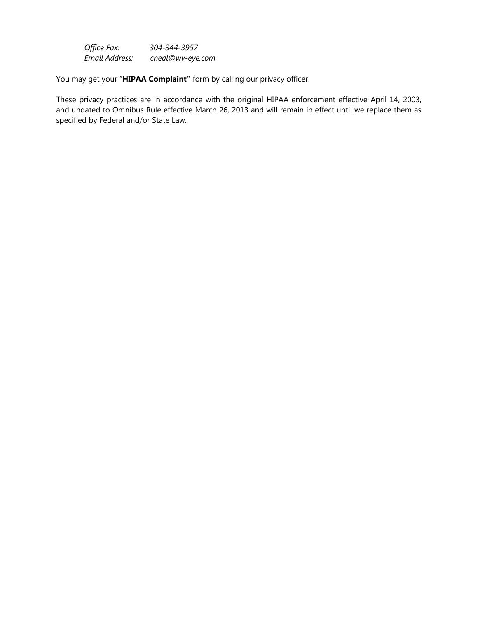*Office Fax: 304-344-3957 Email Address: cneal@wv-eye.com* 

You may get your "**HIPAA Complaint"** form by calling our privacy officer.

These privacy practices are in accordance with the original HIPAA enforcement effective April 14, 2003, and undated to Omnibus Rule effective March 26, 2013 and will remain in effect until we replace them as specified by Federal and/or State Law.